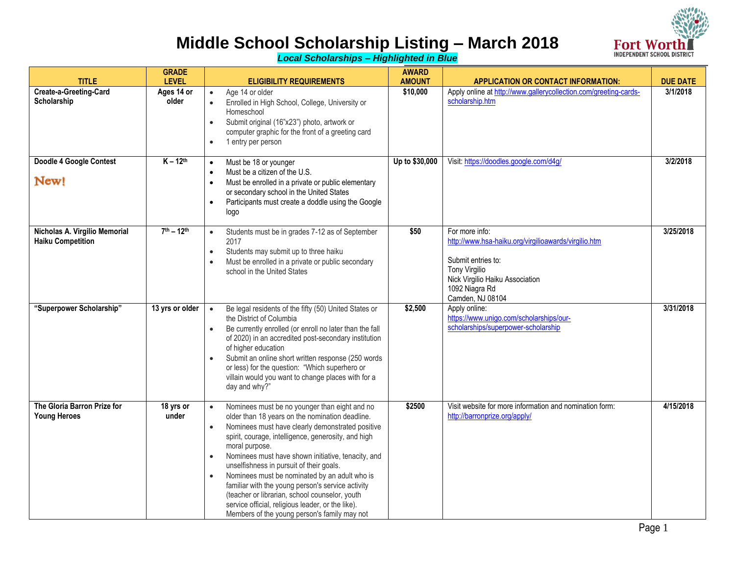

*Local Scholarships – Highlighted in Blue*

|                                                           | <b>GRADE</b>        |                                                                                                                                                                                                                                                                                                                                                                                                                                                                                                                                                                                                                                     | <b>AWARD</b>   |                                                                                                                                                                                               |                 |
|-----------------------------------------------------------|---------------------|-------------------------------------------------------------------------------------------------------------------------------------------------------------------------------------------------------------------------------------------------------------------------------------------------------------------------------------------------------------------------------------------------------------------------------------------------------------------------------------------------------------------------------------------------------------------------------------------------------------------------------------|----------------|-----------------------------------------------------------------------------------------------------------------------------------------------------------------------------------------------|-----------------|
| <b>TITLE</b>                                              | <b>LEVEL</b>        | <b>ELIGIBILITY REQUIREMENTS</b>                                                                                                                                                                                                                                                                                                                                                                                                                                                                                                                                                                                                     | <b>AMOUNT</b>  | <b>APPLICATION OR CONTACT INFORMATION:</b>                                                                                                                                                    | <b>DUE DATE</b> |
| Create-a-Greeting-Card<br>Scholarship                     | Ages 14 or<br>older | Age 14 or older<br>$\bullet$<br>$\bullet$<br>Enrolled in High School, College, University or<br>Homeschool<br>Submit original (16"x23") photo, artwork or<br>$\bullet$<br>computer graphic for the front of a greeting card<br>1 entry per person<br>$\bullet$                                                                                                                                                                                                                                                                                                                                                                      | \$10,000       | Apply online at http://www.gallerycollection.com/greeting-cards-<br>scholarship.htm                                                                                                           | 3/1/2018        |
| Doodle 4 Google Contest<br>New!                           | $K - 12th$          | Must be 18 or younger<br>$\bullet$<br>Must be a citizen of the U.S.<br>$\bullet$<br>Must be enrolled in a private or public elementary<br>$\bullet$<br>or secondary school in the United States<br>Participants must create a doddle using the Google<br>$\bullet$<br>logo                                                                                                                                                                                                                                                                                                                                                          | Up to \$30,000 | Visit: https://doodles.google.com/d4g/                                                                                                                                                        | 3/2/2018        |
| Nicholas A. Virgilio Memorial<br><b>Haiku Competition</b> | $7^{th} - 12^{th}$  | Students must be in grades 7-12 as of September<br>$\bullet$<br>2017<br>Students may submit up to three haiku<br>$\bullet$<br>Must be enrolled in a private or public secondary<br>$\bullet$<br>school in the United States                                                                                                                                                                                                                                                                                                                                                                                                         | \$50           | For more info:<br>http://www.hsa-haiku.org/virgilioawards/virgilio.htm<br>Submit entries to:<br><b>Tony Virgilio</b><br>Nick Virgilio Haiku Association<br>1092 Niagra Rd<br>Camden, NJ 08104 | 3/25/2018       |
| "Superpower Scholarship"                                  | 13 yrs or older     | Be legal residents of the fifty (50) United States or<br>$\bullet$<br>the District of Columbia<br>Be currently enrolled (or enroll no later than the fall<br>$\bullet$<br>of 2020) in an accredited post-secondary institution<br>of higher education<br>Submit an online short written response (250 words<br>$\bullet$<br>or less) for the question: "Which superhero or<br>villain would you want to change places with for a<br>day and why?"                                                                                                                                                                                   | \$2,500        | Apply online:<br>https://www.unigo.com/scholarships/our-<br>scholarships/superpower-scholarship                                                                                               | 3/31/2018       |
| The Gloria Barron Prize for<br><b>Young Heroes</b>        | 18 yrs or<br>under  | Nominees must be no younger than eight and no<br>$\bullet$<br>older than 18 years on the nomination deadline.<br>Nominees must have clearly demonstrated positive<br>$\bullet$<br>spirit, courage, intelligence, generosity, and high<br>moral purpose.<br>Nominees must have shown initiative, tenacity, and<br>$\bullet$<br>unselfishness in pursuit of their goals.<br>Nominees must be nominated by an adult who is<br>familiar with the young person's service activity<br>(teacher or librarian, school counselor, youth<br>service official, religious leader, or the like).<br>Members of the young person's family may not | \$2500         | Visit website for more information and nomination form:<br>http://barronprize.org/apply/                                                                                                      | 4/15/2018       |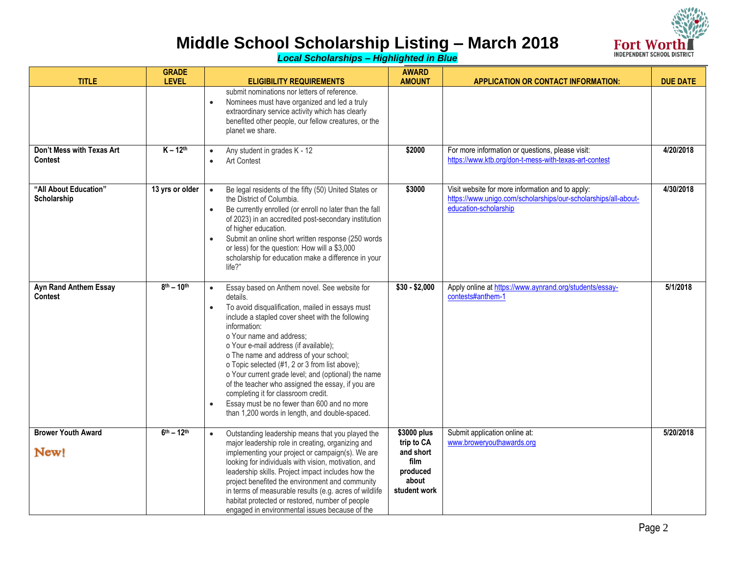

*Local Scholarships – Highlighted in Blue*

| <b>TITLE</b>                            | <b>GRADE</b><br><b>LEVEL</b> | <b>ELIGIBILITY REQUIREMENTS</b>                                                                                                                                                                                                                                                                                                                                                                                                                                                                                                                                                                                    | <b>AWARD</b><br><b>AMOUNT</b>                                                       | <b>APPLICATION OR CONTACT INFORMATION:</b>                                                                                                  | <b>DUE DATE</b> |
|-----------------------------------------|------------------------------|--------------------------------------------------------------------------------------------------------------------------------------------------------------------------------------------------------------------------------------------------------------------------------------------------------------------------------------------------------------------------------------------------------------------------------------------------------------------------------------------------------------------------------------------------------------------------------------------------------------------|-------------------------------------------------------------------------------------|---------------------------------------------------------------------------------------------------------------------------------------------|-----------------|
| Don't Mess with Texas Art               | $K - 12$ <sup>th</sup>       | submit nominations nor letters of reference.<br>Nominees must have organized and led a truly<br>$\bullet$<br>extraordinary service activity which has clearly<br>benefited other people, our fellow creatures, or the<br>planet we share.<br>Any student in grades K - 12<br>$\bullet$                                                                                                                                                                                                                                                                                                                             | \$2000                                                                              | For more information or questions, please visit:                                                                                            | 4/20/2018       |
| <b>Contest</b>                          |                              | Art Contest<br>$\bullet$                                                                                                                                                                                                                                                                                                                                                                                                                                                                                                                                                                                           |                                                                                     | https://www.ktb.org/don-t-mess-with-texas-art-contest                                                                                       |                 |
| "All About Education"<br>Scholarship    | 13 yrs or older              | Be legal residents of the fifty (50) United States or<br>$\bullet$<br>the District of Columbia.<br>Be currently enrolled (or enroll no later than the fall<br>$\bullet$<br>of 2023) in an accredited post-secondary institution<br>of higher education.<br>Submit an online short written response (250 words<br>$\bullet$<br>or less) for the question: How will a \$3,000<br>scholarship for education make a difference in your<br>life?"                                                                                                                                                                       | \$3000                                                                              | Visit website for more information and to apply:<br>https://www.unigo.com/scholarships/our-scholarships/all-about-<br>education-scholarship | 4/30/2018       |
| Ayn Rand Anthem Essay<br><b>Contest</b> | $8^{th} - 10^{th}$           | Essay based on Anthem novel. See website for<br>$\bullet$<br>details.<br>To avoid disqualification, mailed in essays must<br>include a stapled cover sheet with the following<br>information:<br>o Your name and address;<br>o Your e-mail address (if available);<br>o The name and address of your school;<br>o Topic selected (#1, 2 or 3 from list above);<br>o Your current grade level; and (optional) the name<br>of the teacher who assigned the essay, if you are<br>completing it for classroom credit.<br>Essay must be no fewer than 600 and no more<br>than 1,200 words in length, and double-spaced. | $$30 - $2,000$                                                                      | Apply online at https://www.aynrand.org/students/essay-<br>contests#anthem-1                                                                | 5/1/2018        |
| <b>Brower Youth Award</b><br>New!       | $6^{th} - 12^{th}$           | Outstanding leadership means that you played the<br>$\bullet$<br>major leadership role in creating, organizing and<br>implementing your project or campaign(s). We are<br>looking for individuals with vision, motivation, and<br>leadership skills. Project impact includes how the<br>project benefited the environment and community<br>in terms of measurable results (e.g. acres of wildlife<br>habitat protected or restored, number of people<br>engaged in environmental issues because of the                                                                                                             | \$3000 plus<br>trip to CA<br>and short<br>film<br>produced<br>about<br>student work | Submit application online at:<br>www.broweryouthawards.org                                                                                  | 5/20/2018       |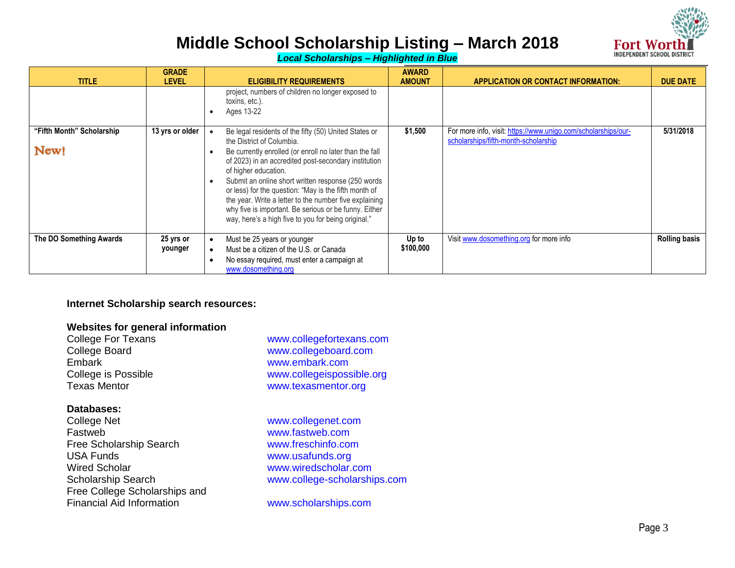

*Local Scholarships – Highlighted in Blue*

| <b>TITLE</b>                      | <b>GRADE</b><br><b>LEVEL</b> | <b>ELIGIBILITY REQUIREMENTS</b>                                                                                                                                                                                                                                                                                                                                                                                                                                                                                        | <b>AWARD</b><br><b>AMOUNT</b> | <b>APPLICATION OR CONTACT INFORMATION:</b>                                                            | <b>DUE DATE</b>      |
|-----------------------------------|------------------------------|------------------------------------------------------------------------------------------------------------------------------------------------------------------------------------------------------------------------------------------------------------------------------------------------------------------------------------------------------------------------------------------------------------------------------------------------------------------------------------------------------------------------|-------------------------------|-------------------------------------------------------------------------------------------------------|----------------------|
|                                   |                              | project, numbers of children no longer exposed to<br>toxins, etc.).<br>Ages 13-22                                                                                                                                                                                                                                                                                                                                                                                                                                      |                               |                                                                                                       |                      |
| "Fifth Month" Scholarship<br>New! | 13 yrs or older              | Be legal residents of the fifty (50) United States or<br>the District of Columbia.<br>Be currently enrolled (or enroll no later than the fall<br>of 2023) in an accredited post-secondary institution<br>of higher education.<br>Submit an online short written response (250 words<br>or less) for the question: "May is the fifth month of<br>the year. Write a letter to the number five explaining<br>why five is important. Be serious or be funny. Either<br>way, here's a high five to you for being original." | \$1,500                       | For more info, visit: https://www.unigo.com/scholarships/our-<br>scholarships/fifth-month-scholarship | 5/31/2018            |
| The DO Something Awards           | 25 yrs or<br>younger         | Must be 25 years or younger<br>Must be a citizen of the U.S. or Canada<br>No essay required, must enter a campaign at<br>www.dosomething.org                                                                                                                                                                                                                                                                                                                                                                           | Up to<br>\$100,000            | Visit www.dosomething.org for more info                                                               | <b>Rolling basis</b> |

## **Internet Scholarship search resources:**

### **Websites for general information**

| College For Texans  | www.collegefortexans.com  |
|---------------------|---------------------------|
| College Board       | www.collegeboard.com      |
| Embark              | www.embark.com            |
| College is Possible | www.collegeispossible.org |
| Texas Mentor        | www.texasmentor.org       |

## **Databases:**

| <b>College Net</b>               |
|----------------------------------|
| Fastweb                          |
| Free Scholarship Search          |
| <b>USA Funds</b>                 |
| <b>Wired Scholar</b>             |
| <b>Scholarship Search</b>        |
| Free College Scholarships and    |
| <b>Financial Aid Information</b> |
|                                  |

www.collegenet.com www.fastweb.com www.freschinfo.com www.usafunds.org www.wiredscholar.com www.college-scholarships.com

www.scholarships.com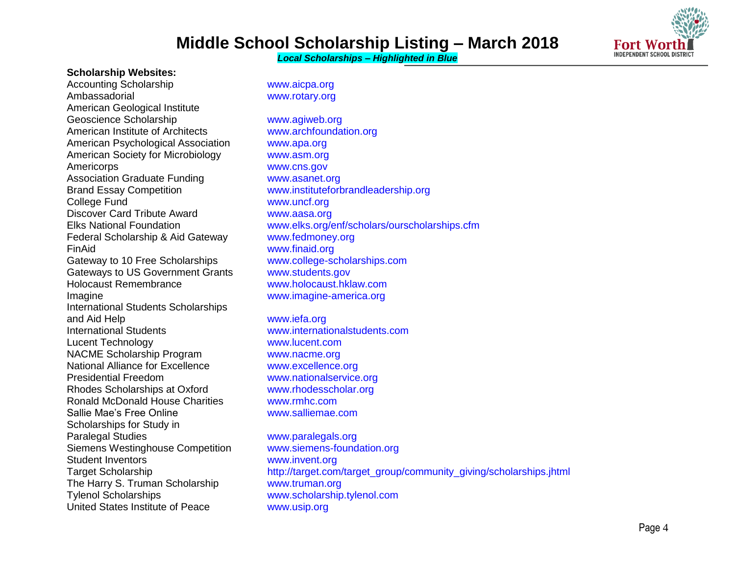*Local Scholarships – Highlighted in Blue*



#### **Scholarship Websites:**

Accounting Scholarship Www.aicpa.org Ambassadorial www.rotary.org American Geological Institute Geoscience Scholarship www.agiweb.org American Institute of Architects www.archfoundation.org American Psychological Association www.apa.org American Society for Microbiology www.asm.org Americorps www.cns.gov Association Graduate Funding WWW.asanet.org Brand Essay Competition www.instituteforbrandleadership.org College Fund www.uncf.org Discover Card Tribute Award WWW.aasa.org Federal Scholarship & Aid Gateway www.fedmoney.org FinAid www.finaid.org Gateway to 10 Free Scholarships www.college-scholarships.com<br>Gateways to US Government Grants www.students.gov Gateways to US Government Grants. Holocaust Remembrance www.holocaust.hklaw.com Imagine **Imagine** www.imagine-america.org International Students Scholarships and Aid Help www.iefa.org International Students www.internationalstudents.com Lucent Technology www.lucent.com NACME Scholarship Program www.nacme.org National Alliance for Excellence www.excellence.org Presidential Freedom www.nationalservice.org Rhodes Scholarships at Oxford www.rhodesscholar.org Ronald McDonald House Charities www.rmhc.com Sallie Mae's Free Online Washington www.salliemae.com Scholarships for Study in Paralegal Studies **WARES** WWW.paralegals.org Siemens Westinghouse Competition www.siemens-foundation.org Student Inventors www.invent.org The Harry S. Truman Scholarship www.truman.org Tylenol Scholarships www.scholarship.tylenol.com United States Institute of Peace www.usip.org

Elks National Foundation www.elks.org/enf/scholars/ourscholarships.cfm

Target Scholarship http://target.com/target\_group/community\_giving/scholarships.jhtml